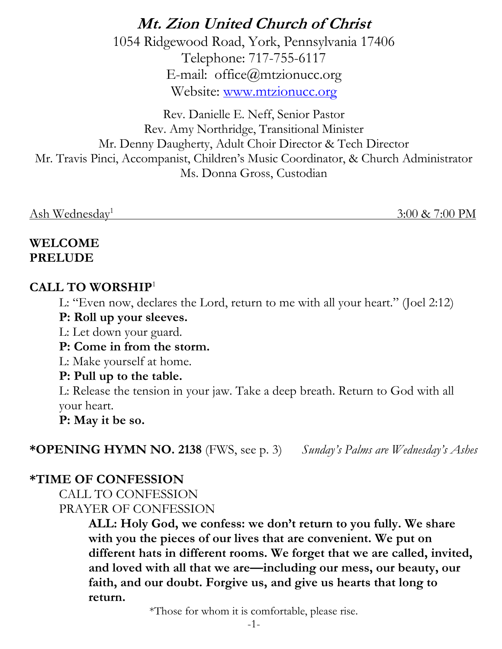**Mt. Zion United Church of Christ** 1054 Ridgewood Road, York, Pennsylvania 17406 Telephone: 717-755-6117 E-mail: office@mtzionucc.org Website: [www.mtzionucc.org](http://www.mtzionucc.org/)

Rev. Danielle E. Neff, Senior Pastor Rev. Amy Northridge, Transitional Minister Mr. Denny Daugherty, Adult Choir Director & Tech Director Mr. Travis Pinci, Accompanist, Children's Music Coordinator, & Church Administrator Ms. Donna Gross, Custodian

Ash Wednesday<sup>1</sup>

3:00 & 7:00 PM

### **WELCOME PRELUDE**

# **CALL TO WORSHIP**<sup>1</sup>

L: "Even now, declares the Lord, return to me with all your heart." (Joel 2:12)

### **P: Roll up your sleeves.**

L: Let down your guard.

**P: Come in from the storm.**

L: Make yourself at home.

# **P: Pull up to the table.**

L: Release the tension in your jaw. Take a deep breath. Return to God with all your heart.

**P: May it be so.**

**\*OPENING HYMN NO. 2138** (FWS, see p. 3) *Sunday's Palms are Wednesday's Ashes*

# **\*TIME OF CONFESSION**

CALL TO CONFESSION PRAYER OF CONFESSION

> **ALL: Holy God, we confess: we don't return to you fully. We share with you the pieces of our lives that are convenient. We put on different hats in different rooms. We forget that we are called, invited, and loved with all that we are—including our mess, our beauty, our faith, and our doubt. Forgive us, and give us hearts that long to return.**

> > \*Those for whom it is comfortable, please rise.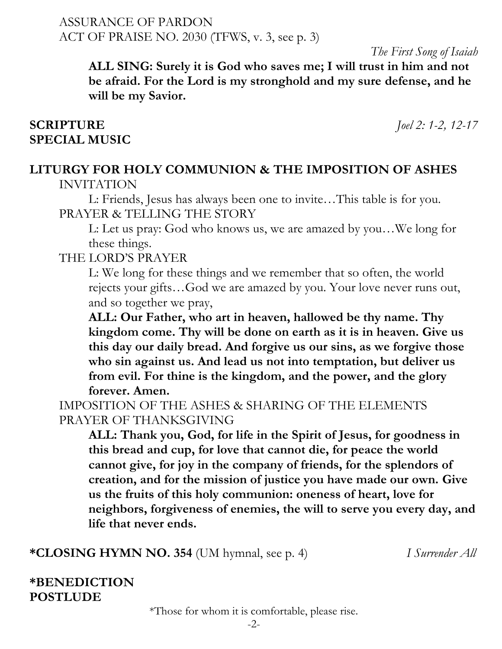ASSURANCE OF PARDON ACT OF PRAISE NO. 2030 (TFWS, v. 3, see p. 3)

*The First Song of Isaiah*

**ALL SING: Surely it is God who saves me; I will trust in him and not be afraid. For the Lord is my stronghold and my sure defense, and he will be my Savior.**

#### **SCRIPTURE** *Joel 2: 1-2, 12-17* **SPECIAL MUSIC**

#### **LITURGY FOR HOLY COMMUNION & THE IMPOSITION OF ASHES** INVITATION

L: Friends, Jesus has always been one to invite…This table is for you. PRAYER & TELLING THE STORY

L: Let us pray: God who knows us, we are amazed by you…We long for these things.

### THE LORD'S PRAYER

L: We long for these things and we remember that so often, the world rejects your gifts…God we are amazed by you. Your love never runs out, and so together we pray,

**ALL: Our Father, who art in heaven, hallowed be thy name. Thy kingdom come. Thy will be done on earth as it is in heaven. Give us this day our daily bread. And forgive us our sins, as we forgive those who sin against us. And lead us not into temptation, but deliver us from evil. For thine is the kingdom, and the power, and the glory forever. Amen.**

IMPOSITION OF THE ASHES & SHARING OF THE ELEMENTS PRAYER OF THANKSGIVING

**ALL: Thank you, God, for life in the Spirit of Jesus, for goodness in this bread and cup, for love that cannot die, for peace the world cannot give, for joy in the company of friends, for the splendors of creation, and for the mission of justice you have made our own. Give us the fruits of this holy communion: oneness of heart, love for neighbors, forgiveness of enemies, the will to serve you every day, and life that never ends.**

**\*CLOSING HYMN NO. 354** (UM hymnal, see p. 4) *I Surrender All*

# **\*BENEDICTION POSTLUDE**

\*Those for whom it is comfortable, please rise.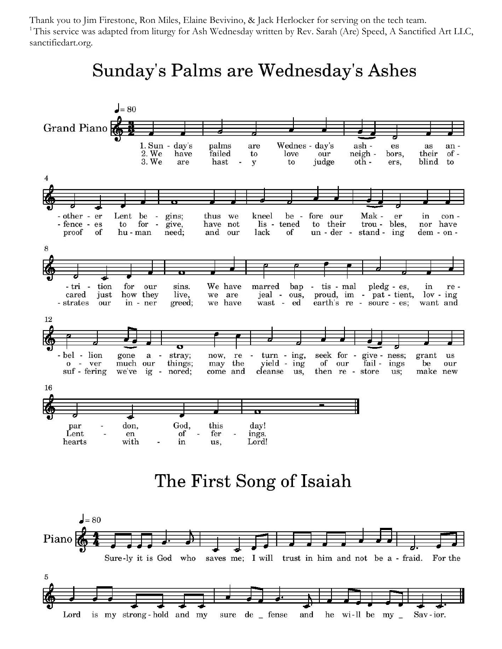Thank you to Jim Firestone, Ron Miles, Elaine Bevivino, & Jack Herlocker for serving on the tech team. <sup>1</sup>This service was adapted from liturgy for Ash Wednesday written by Rev. Sarah (Are) Speed, A Sanctified Art LLC, sanctifiedart.org.

# Sunday's Palms are Wednesday's Ashes



# The First Song of Isaiah